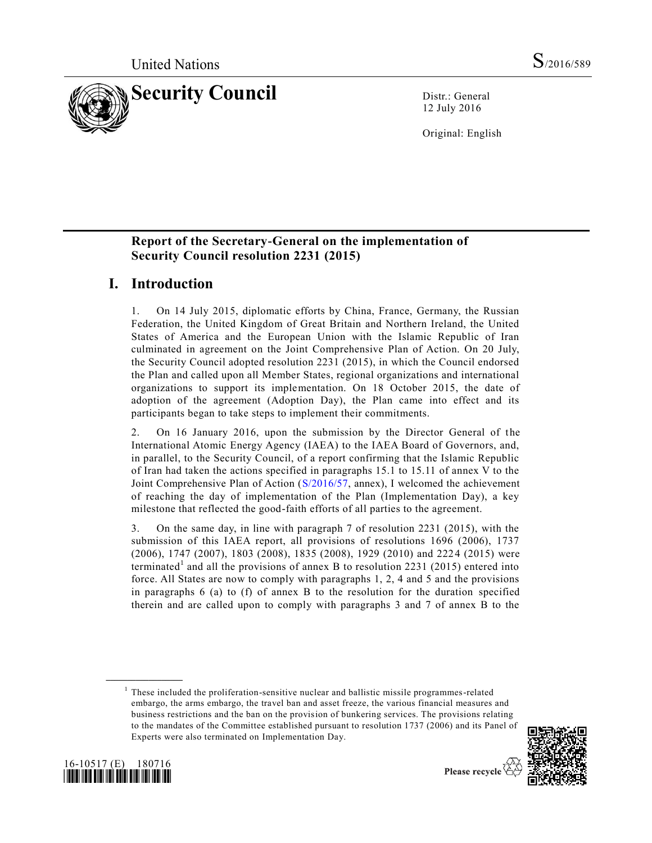

12 July 2016

Original: English

### **Report of the Secretary-General on the implementation of Security Council resolution 2231 (2015)**

# **I. Introduction**

1. On 14 July 2015, diplomatic efforts by China, France, Germany, the Russian Federation, the United Kingdom of Great Britain and Northern Ireland, the United States of America and the European Union with the Islamic Republic of Iran culminated in agreement on the Joint Comprehensive Plan of Action. On 20 July, the Security Council adopted resolution 2231 (2015), in which the Council endorsed the Plan and called upon all Member States, regional organizations and international organizations to support its implementation. On 18 October 2015, the date of adoption of the agreement (Adoption Day), the Plan came into effect and its participants began to take steps to implement their commitments.

2. On 16 January 2016, upon the submission by the Director General of the International Atomic Energy Agency (IAEA) to the IAEA Board of Governors, and, in parallel, to the Security Council, of a report confirming that the Islamic Republic of Iran had taken the actions specified in paragraphs 15.1 to 15.11 of annex V to the Joint Comprehensive Plan of Action [\(S/2016/57,](http://undocs.org/S/2016/57) annex), I welcomed the achievement of reaching the day of implementation of the Plan (Implementation Day), a key milestone that reflected the good-faith efforts of all parties to the agreement.

3. On the same day, in line with paragraph 7 of resolution 2231 (2015), with the submission of this IAEA report, all provisions of resolutions 1696 (2006), 1737 (2006), 1747 (2007), 1803 (2008), 1835 (2008), 1929 (2010) and 222 4 (2015) were terminated<sup>1</sup> and all the provisions of annex B to resolution 2231 (2015) entered into force. All States are now to comply with paragraphs 1, 2, 4 and 5 and the provisions in paragraphs 6 (a) to (f) of annex B to the resolution for the duration specified therein and are called upon to comply with paragraphs 3 and 7 of annex B to the

 $<sup>1</sup>$  These included the proliferation-sensitive nuclear and ballistic missile programmes-related</sup> embargo, the arms embargo, the travel ban and asset freeze, the various financial measures and business restrictions and the ban on the provision of bunkering services. The provisions relating to the mandates of the Committee established pursuant to resolution 1737 (2006) and its Panel of Experts were also terminated on Implementation Day.



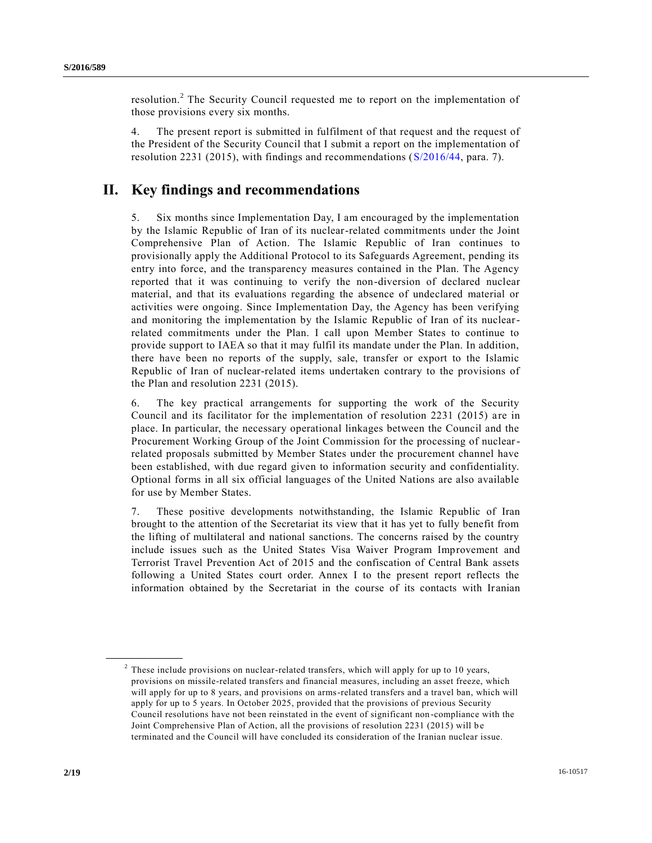resolution.<sup>2</sup> The Security Council requested me to report on the implementation of those provisions every six months.

4. The present report is submitted in fulfilment of that request and the request of the President of the Security Council that I submit a report on the implementation of resolution 2231 (2015), with findings and recommendations [\(S/2016/44,](http://undocs.org/S/2016/44) para. 7).

# **II. Key findings and recommendations**

5. Six months since Implementation Day, I am encouraged by the implementation by the Islamic Republic of Iran of its nuclear-related commitments under the Joint Comprehensive Plan of Action. The Islamic Republic of Iran continues to provisionally apply the Additional Protocol to its Safeguards Agreement, pending its entry into force, and the transparency measures contained in the Plan. The Agency reported that it was continuing to verify the non-diversion of declared nuclear material, and that its evaluations regarding the absence of undeclared material or activities were ongoing. Since Implementation Day, the Agency has been verifying and monitoring the implementation by the Islamic Republic of Iran of its nuclearrelated commitments under the Plan. I call upon Member States to continue to provide support to IAEA so that it may fulfil its mandate under the Plan. In addition, there have been no reports of the supply, sale, transfer or export to the Islamic Republic of Iran of nuclear-related items undertaken contrary to the provisions of the Plan and resolution 2231 (2015).

6. The key practical arrangements for supporting the work of the Security Council and its facilitator for the implementation of resolution 2231 (2015) are in place. In particular, the necessary operational linkages between the Council and the Procurement Working Group of the Joint Commission for the processing of nuclearrelated proposals submitted by Member States under the procurement channel have been established, with due regard given to information security and confidentiality. Optional forms in all six official languages of the United Nations are also available for use by Member States.

7. These positive developments notwithstanding, the Islamic Republic of Iran brought to the attention of the Secretariat its view that it has yet to fully benefit from the lifting of multilateral and national sanctions. The concerns raised by the country include issues such as the United States Visa Waiver Program Improvement and Terrorist Travel Prevention Act of 2015 and the confiscation of Central Bank assets following a United States court order. Annex I to the present report reflects the information obtained by the Secretariat in the course of its contacts with Iranian

 $2$  These include provisions on nuclear-related transfers, which will apply for up to 10 years, provisions on missile-related transfers and financial measures, including an asset freeze, which will apply for up to 8 years, and provisions on arms-related transfers and a travel ban, which will apply for up to 5 years. In October 2025, provided that the provisions of previous Security Council resolutions have not been reinstated in the event of significant non -compliance with the Joint Comprehensive Plan of Action, all the provisions of resolution 2231 (2015) will b e terminated and the Council will have concluded its consideration of the Iranian nuclear issue.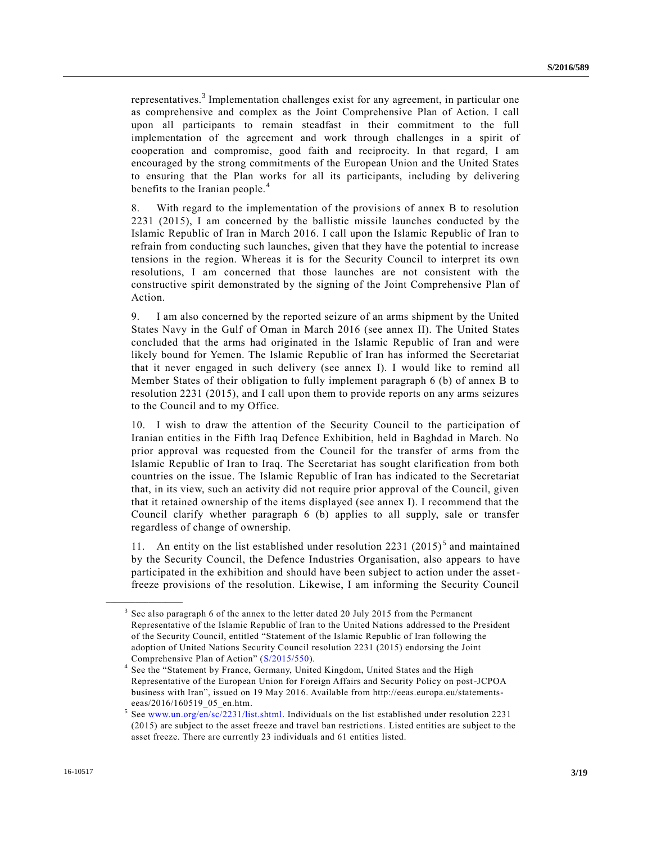representatives.<sup>3</sup> Implementation challenges exist for any agreement, in particular one as comprehensive and complex as the Joint Comprehensive Plan of Action. I call upon all participants to remain steadfast in their commitment to the full implementation of the agreement and work through challenges in a spirit of cooperation and compromise, good faith and reciprocity. In that regard, I am encouraged by the strong commitments of the European Union and the United States to ensuring that the Plan works for all its participants, including by delivering benefits to the Iranian people.<sup>4</sup>

8. With regard to the implementation of the provisions of annex B to resolution 2231 (2015), I am concerned by the ballistic missile launches conducted by the Islamic Republic of Iran in March 2016. I call upon the Islamic Republic of Iran to refrain from conducting such launches, given that they have the potential to increase tensions in the region. Whereas it is for the Security Council to interpret its own resolutions, I am concerned that those launches are not consistent with the constructive spirit demonstrated by the signing of the Joint Comprehensive Plan of Action.

9. I am also concerned by the reported seizure of an arms shipment by the United States Navy in the Gulf of Oman in March 2016 (see annex II). The United States concluded that the arms had originated in the Islamic Republic of Iran and were likely bound for Yemen. The Islamic Republic of Iran has informed the Secretariat that it never engaged in such delivery (see annex I). I would like to remind all Member States of their obligation to fully implement paragraph 6 (b) of annex B to resolution 2231 (2015), and I call upon them to provide reports on any arms seizures to the Council and to my Office.

10. I wish to draw the attention of the Security Council to the participation of Iranian entities in the Fifth Iraq Defence Exhibition, held in Baghdad in March. No prior approval was requested from the Council for the transfer of arms from the Islamic Republic of Iran to Iraq. The Secretariat has sought clarification from both countries on the issue. The Islamic Republic of Iran has indicated to the Secretariat that, in its view, such an activity did not require prior approval of the Council, given that it retained ownership of the items displayed (see annex I). I recommend that the Council clarify whether paragraph 6 (b) applies to all supply, sale or transfer regardless of change of ownership.

11. An entity on the list established under resolution  $2231 (2015)^5$  and maintained by the Security Council, the Defence Industries Organisation, also appears to have participated in the exhibition and should have been subject to action under the assetfreeze provisions of the resolution. Likewise, I am informing the Security Council

<sup>3</sup> See also paragraph 6 of the annex to the letter dated 20 July 2015 from the Permanent Representative of the Islamic Republic of Iran to the United Nations addressed to the President of the Security Council, entitled "Statement of the Islamic Republic of Iran following the adoption of United Nations Security Council resolution 2231 (2015) endorsing the Joint Comprehensive Plan of Action" [\(S/2015/550\)](http://undocs.org/S/2015/550).

<sup>4</sup> See the "Statement by France, Germany, United Kingdom, United States and the High Representative of the European Union for Foreign Affairs and Security Policy on post-JCPOA business with Iran", issued on 19 May 2016. Available from http://eeas.europa.eu/statementseeas/2016/160519\_05\_en.htm.

 $5$  See [www.un.org/en/sc/2231/list.shtml.](http://www.un.org/en/sc/2231/list.shtml) Individuals on the list established under resolution 2231 (2015) are subject to the asset freeze and travel ban restrictions. Listed entities are subject to the asset freeze. There are currently 23 individuals and 61 entities listed.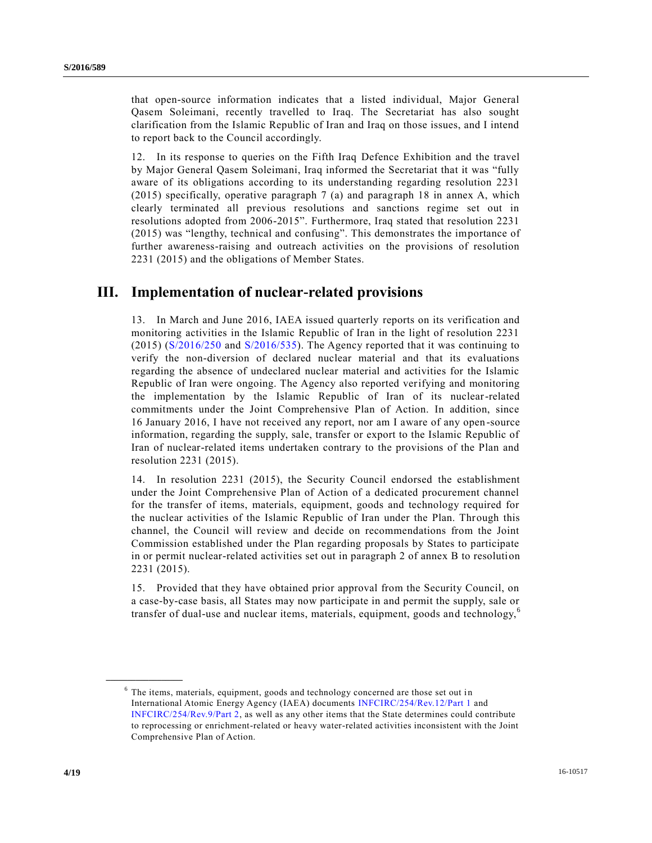that open-source information indicates that a listed individual, Major General Qasem Soleimani, recently travelled to Iraq. The Secretariat has also sought clarification from the Islamic Republic of Iran and Iraq on those issues, and I intend to report back to the Council accordingly.

12. In its response to queries on the Fifth Iraq Defence Exhibition and the travel by Major General Qasem Soleimani, Iraq informed the Secretariat that it was "fully aware of its obligations according to its understanding regarding resolution 2231 (2015) specifically, operative paragraph 7 (a) and paragraph 18 in annex A, which clearly terminated all previous resolutions and sanctions regime set out in resolutions adopted from 2006-2015". Furthermore, Iraq stated that resolution 2231 (2015) was "lengthy, technical and confusing". This demonstrates the importance of further awareness-raising and outreach activities on the provisions of resolution 2231 (2015) and the obligations of Member States.

# **III. Implementation of nuclear-related provisions**

13. In March and June 2016, IAEA issued quarterly reports on its verification and monitoring activities in the Islamic Republic of Iran in the light of resolution 2231 (2015) [\(S/2016/250](http://undocs.org/S/2016/250) and [S/2016/535\)](http://undocs.org/S/2016/535). The Agency reported that it was continuing to verify the non-diversion of declared nuclear material and that its evaluations regarding the absence of undeclared nuclear material and activities for the Islamic Republic of Iran were ongoing. The Agency also reported verifying and monitoring the implementation by the Islamic Republic of Iran of its nuclear-related commitments under the Joint Comprehensive Plan of Action. In addition, since 16 January 2016, I have not received any report, nor am I aware of any open -source information, regarding the supply, sale, transfer or export to the Islamic Republic of Iran of nuclear-related items undertaken contrary to the provisions of the Plan and resolution 2231 (2015).

14. In resolution 2231 (2015), the Security Council endorsed the establishment under the Joint Comprehensive Plan of Action of a dedicated procurement channel for the transfer of items, materials, equipment, goods and technology required for the nuclear activities of the Islamic Republic of Iran under the Plan. Through this channel, the Council will review and decide on recommendations from the Joint Commission established under the Plan regarding proposals by States to participate in or permit nuclear-related activities set out in paragraph 2 of annex B to resolution 2231 (2015).

15. Provided that they have obtained prior approval from the Security Council, on a case-by-case basis, all States may now participate in and permit the supply, sale or transfer of dual-use and nuclear items, materials, equipment, goods and technology,<sup>6</sup>

<sup>&</sup>lt;sup>6</sup> The items, materials, equipment, goods and technology concerned are those set out in International Atomic Energy Agency (IAEA) documents [INFCIRC/254/Rev.12/Part 1](https://www.iaea.org/sites/default/files/publications/documents/infcircs/1978/infcirc254r12p1.pdf) and [INFCIRC/254/Rev.9/Part 2,](https://www.iaea.org/sites/default/files/publications/documents/infcircs/1978/infcirc254r9p2.pdf) as well as any other items that the State determines could contribute to reprocessing or enrichment-related or heavy water-related activities inconsistent with the Joint Comprehensive Plan of Action.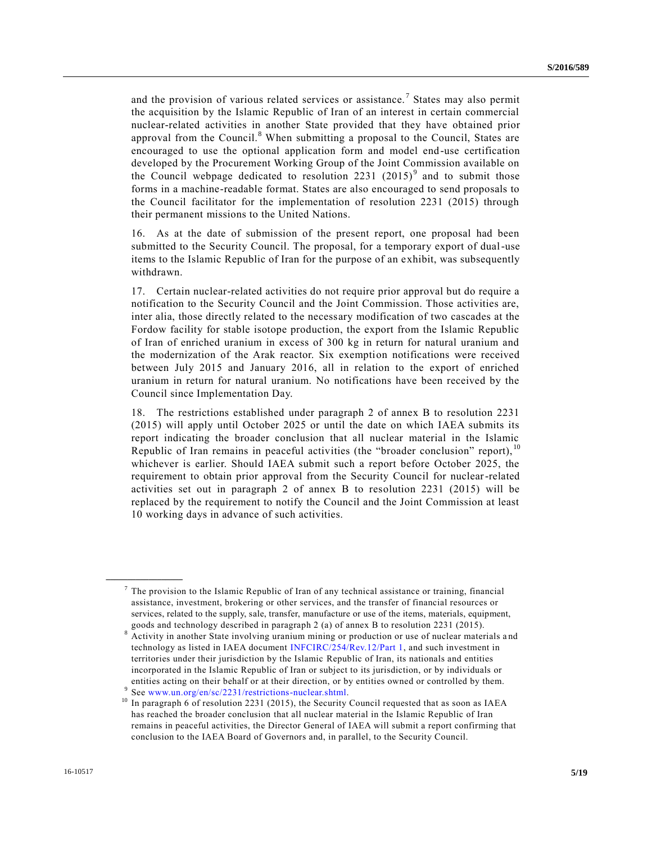and the provision of various related services or assistance.<sup>7</sup> States may also permit the acquisition by the Islamic Republic of Iran of an interest in certain commercial nuclear-related activities in another State provided that they have obtained prior approval from the Council.<sup>8</sup> When submitting a proposal to the Council, States are encouraged to use the optional application form and model end-use certification developed by the Procurement Working Group of the Joint Commission available on the Council webpage dedicated to resolution 2231  $(2015)^9$  and to submit those forms in a machine-readable format. States are also encouraged to send proposals to the Council facilitator for the implementation of resolution 2231 (2015) through their permanent missions to the United Nations.

16. As at the date of submission of the present report, one proposal had been submitted to the Security Council. The proposal, for a temporary export of dual-use items to the Islamic Republic of Iran for the purpose of an exhibit, was subsequently withdrawn.

17. Certain nuclear-related activities do not require prior approval but do require a notification to the Security Council and the Joint Commission. Those activities are, inter alia, those directly related to the necessary modification of two cascades at the Fordow facility for stable isotope production, the export from the Islamic Republic of Iran of enriched uranium in excess of 300 kg in return for natural uranium and the modernization of the Arak reactor. Six exemption notifications were received between July 2015 and January 2016, all in relation to the export of enriched uranium in return for natural uranium. No notifications have been received by the Council since Implementation Day.

18. The restrictions established under paragraph 2 of annex B to resolution 2231 (2015) will apply until October 2025 or until the date on which IAEA submits its report indicating the broader conclusion that all nuclear material in the Islamic Republic of Iran remains in peaceful activities (the "broader conclusion" report),  $10$ whichever is earlier. Should IAEA submit such a report before October 2025, the requirement to obtain prior approval from the Security Council for nuclear-related activities set out in paragraph 2 of annex B to resolution 2231 (2015) will be replaced by the requirement to notify the Council and the Joint Commission at least 10 working days in advance of such activities.

 $^7$  The provision to the Islamic Republic of Iran of any technical assistance or training, financial assistance, investment, brokering or other services, and the transfer of financial resources or services, related to the supply, sale, transfer, manufacture or use of the items, materials, equipment, goods and technology described in paragraph 2 (a) of annex B to resolution 2231 (2015).

<sup>8</sup> Activity in another State involving uranium mining or production or use of nuclear materials a nd technology as listed in IAEA document [INFCIRC/254/Rev.12/Part 1,](https://www.iaea.org/sites/default/files/publications/documents/infcircs/1978/infcirc254r12p1.pdf) and such investment in territories under their jurisdiction by the Islamic Republic of Iran, its nationals and entities incorporated in the Islamic Republic of Iran or subject to its jurisdiction, or by individuals or entities acting on their behalf or at their direction, or by entities owned or controlled by them. 9 See [www.un.org/en/sc/2231/restrictions-nuclear.shtml.](http://www.un.org/en/sc/2231/restrictions-nuclear.shtml)

<sup>&</sup>lt;sup>10</sup> In paragraph 6 of resolution 2231 (2015), the Security Council requested that as soon as IAEA has reached the broader conclusion that all nuclear material in the Islamic Republic of Iran remains in peaceful activities, the Director General of IAEA will submit a report confirming that conclusion to the IAEA Board of Governors and, in parallel, to the Security Council.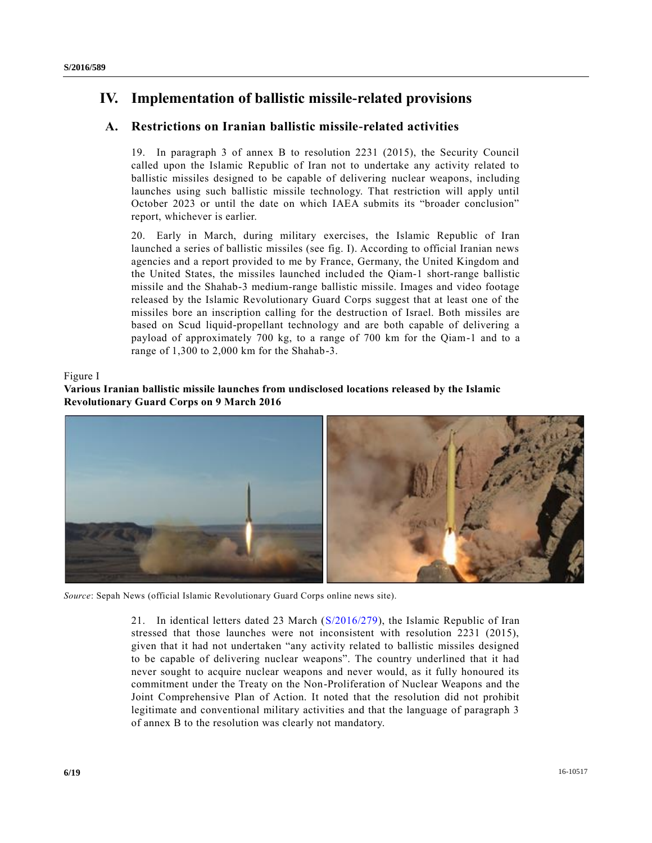# **IV. Implementation of ballistic missile-related provisions**

## **A. Restrictions on Iranian ballistic missile-related activities**

19. In paragraph 3 of annex B to resolution 2231 (2015), the Security Council called upon the Islamic Republic of Iran not to undertake any activity related to ballistic missiles designed to be capable of delivering nuclear weapons, including launches using such ballistic missile technology. That restriction will apply until October 2023 or until the date on which IAEA submits its "broader conclusion" report, whichever is earlier.

20. Early in March, during military exercises, the Islamic Republic of Iran launched a series of ballistic missiles (see fig. I). According to official Iranian news agencies and a report provided to me by France, Germany, the United Kingdom and the United States, the missiles launched included the Qiam-1 short-range ballistic missile and the Shahab-3 medium-range ballistic missile. Images and video footage released by the Islamic Revolutionary Guard Corps suggest that at least one of the missiles bore an inscription calling for the destruction of Israel. Both missiles are based on Scud liquid-propellant technology and are both capable of delivering a payload of approximately 700 kg, to a range of 700 km for the Qiam-1 and to a range of 1,300 to 2,000 km for the Shahab-3.

Figure I

### **Various Iranian ballistic missile launches from undisclosed locations released by the Islamic Revolutionary Guard Corps on 9 March 2016**



*Source*: Sepah News (official Islamic Revolutionary Guard Corps online news site).

21. In identical letters dated 23 March [\(S/2016/279\)](http://undocs.org/S/2016/279), the Islamic Republic of Iran stressed that those launches were not inconsistent with resolution 2231 (2015), given that it had not undertaken "any activity related to ballistic missiles designed to be capable of delivering nuclear weapons". The country underlined that it had never sought to acquire nuclear weapons and never would, as it fully honoured its commitment under the Treaty on the Non-Proliferation of Nuclear Weapons and the Joint Comprehensive Plan of Action. It noted that the resolution did not prohibit legitimate and conventional military activities and that the language of paragraph 3 of annex B to the resolution was clearly not mandatory.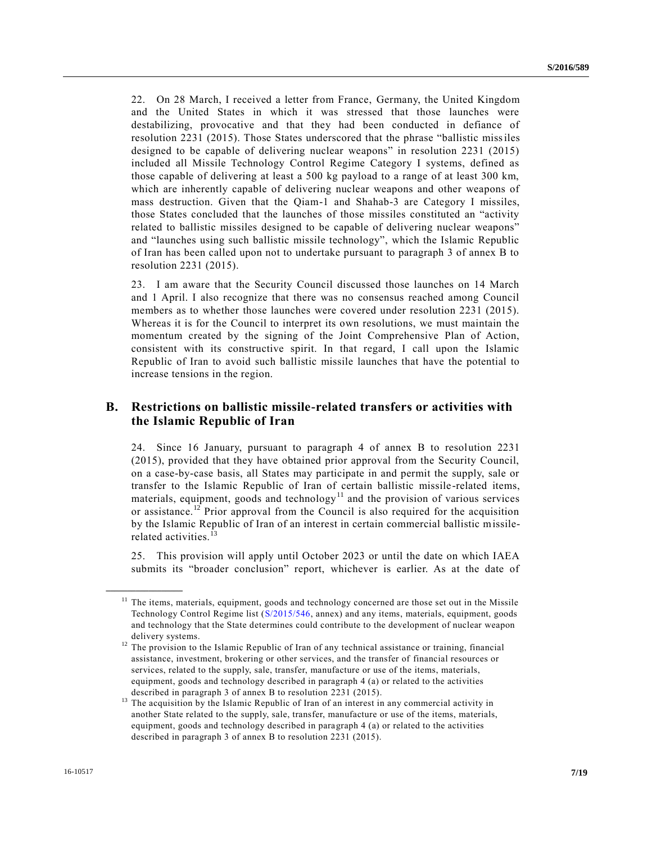22. On 28 March, I received a letter from France, Germany, the United Kingdom and the United States in which it was stressed that those launches were destabilizing, provocative and that they had been conducted in defiance of resolution 2231 (2015). Those States underscored that the phrase "ballistic missiles designed to be capable of delivering nuclear weapons" in resolution 2231 (2015) included all Missile Technology Control Regime Category I systems, defined as those capable of delivering at least a 500 kg payload to a range of at least 300 km, which are inherently capable of delivering nuclear weapons and other weapons of mass destruction. Given that the Qiam-1 and Shahab-3 are Category I missiles, those States concluded that the launches of those missiles constituted an "activity related to ballistic missiles designed to be capable of delivering nuclear weapons" and "launches using such ballistic missile technology", which the Islamic Republic of Iran has been called upon not to undertake pursuant to paragraph 3 of annex B to resolution 2231 (2015).

23. I am aware that the Security Council discussed those launches on 14 March and 1 April. I also recognize that there was no consensus reached among Council members as to whether those launches were covered under resolution 2231 (2015). Whereas it is for the Council to interpret its own resolutions, we must maintain the momentum created by the signing of the Joint Comprehensive Plan of Action, consistent with its constructive spirit. In that regard, I call upon the Islamic Republic of Iran to avoid such ballistic missile launches that have the potential to increase tensions in the region.

### **B. Restrictions on ballistic missile-related transfers or activities with the Islamic Republic of Iran**

24. Since 16 January, pursuant to paragraph 4 of annex B to resolution 2231 (2015), provided that they have obtained prior approval from the Security Council, on a case-by-case basis, all States may participate in and permit the supply, sale or transfer to the Islamic Republic of Iran of certain ballistic missile -related items, materials, equipment, goods and technology<sup>11</sup> and the provision of various services or assistance.<sup>12</sup> Prior approval from the Council is also required for the acquisition by the Islamic Republic of Iran of an interest in certain commercial ballistic missilerelated activities. $^{13}$ 

25. This provision will apply until October 2023 or until the date on which IAEA submits its "broader conclusion" report, whichever is earlier. As at the date of

<sup>&</sup>lt;sup>11</sup> The items, materials, equipment, goods and technology concerned are those set out in the Missile Technology Control Regime list [\(S/2015/546,](http://undocs.org/S/2015/546) annex) and any items, materials, equipment, goods and technology that the State determines could contribute to the development of nuclear weapon delivery systems.

<sup>&</sup>lt;sup>12</sup> The provision to the Islamic Republic of Iran of any technical assistance or training, financial assistance, investment, brokering or other services, and the transfer of financial resources or services, related to the supply, sale, transfer, manufacture or use of the items, materials, equipment, goods and technology described in paragraph 4 (a) or related to the activities described in paragraph 3 of annex B to resolution 2231 (2015).

<sup>&</sup>lt;sup>13</sup> The acquisition by the Islamic Republic of Iran of an interest in any commercial activity in another State related to the supply, sale, transfer, manufacture or use of the items, materials, equipment, goods and technology described in paragraph 4 (a) or related to the activities described in paragraph 3 of annex B to resolution 2231 (2015).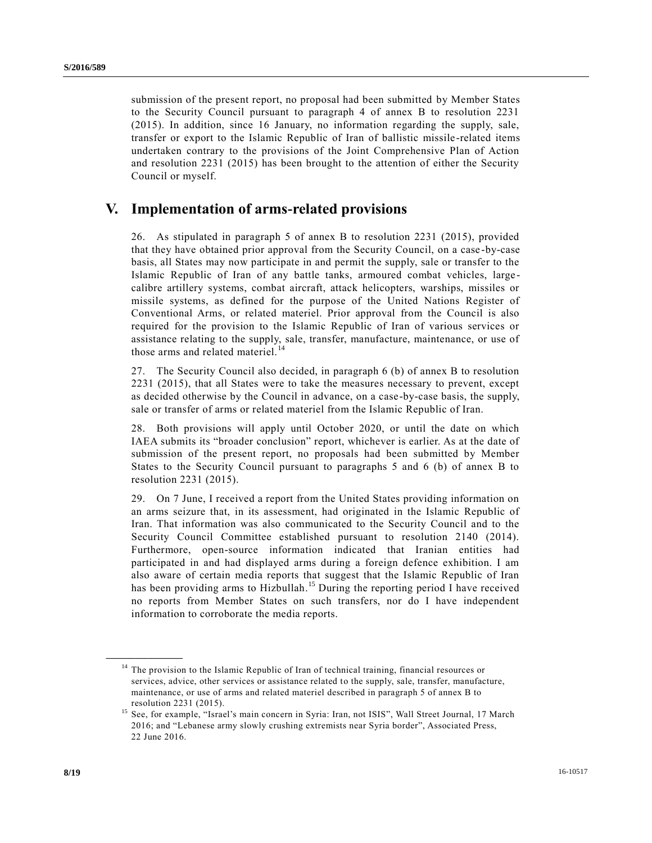submission of the present report, no proposal had been submitted by Member States to the Security Council pursuant to paragraph 4 of annex B to resolution 2231 (2015). In addition, since 16 January, no information regarding the supply, sale, transfer or export to the Islamic Republic of Iran of ballistic missile -related items undertaken contrary to the provisions of the Joint Comprehensive Plan of Action and resolution 2231 (2015) has been brought to the attention of either the Security Council or myself.

## **V. Implementation of arms-related provisions**

26. As stipulated in paragraph 5 of annex B to resolution 2231 (2015), provided that they have obtained prior approval from the Security Council, on a case -by-case basis, all States may now participate in and permit the supply, sale or transfer to the Islamic Republic of Iran of any battle tanks, armoured combat vehicles, large calibre artillery systems, combat aircraft, attack helicopters, warships, missiles or missile systems, as defined for the purpose of the United Nations Register of Conventional Arms, or related materiel. Prior approval from the Council is also required for the provision to the Islamic Republic of Iran of various services or assistance relating to the supply, sale, transfer, manufacture, maintenance, or use of those arms and related materiel.<sup>14</sup>

27. The Security Council also decided, in paragraph 6 (b) of annex B to resolution 2231 (2015), that all States were to take the measures necessary to prevent, except as decided otherwise by the Council in advance, on a case-by-case basis, the supply, sale or transfer of arms or related materiel from the Islamic Republic of Iran.

28. Both provisions will apply until October 2020, or until the date on which IAEA submits its "broader conclusion" report, whichever is earlier. As at the date of submission of the present report, no proposals had been submitted by Member States to the Security Council pursuant to paragraphs 5 and 6 (b) of annex B to resolution 2231 (2015).

29. On 7 June, I received a report from the United States providing information on an arms seizure that, in its assessment, had originated in the Islamic Republic of Iran. That information was also communicated to the Security Council and to the Security Council Committee established pursuant to resolution 2140 (2014). Furthermore, open-source information indicated that Iranian entities had participated in and had displayed arms during a foreign defence exhibition. I am also aware of certain media reports that suggest that the Islamic Republic of Iran has been providing arms to Hizbullah.<sup>15</sup> During the reporting period I have received no reports from Member States on such transfers, nor do I have independent information to corroborate the media reports.

<sup>&</sup>lt;sup>14</sup> The provision to the Islamic Republic of Iran of technical training, financial resources or services, advice, other services or assistance related to the supply, sale, transfer, manufacture, maintenance, or use of arms and related materiel described in paragraph 5 of annex B to resolution 2231 (2015).

<sup>&</sup>lt;sup>15</sup> See, for example, "Israel's main concern in Syria: Iran, not ISIS", Wall Street Journal, 17 March 2016; and "Lebanese army slowly crushing extremists near Syria border", Associated Press, 22 June 2016.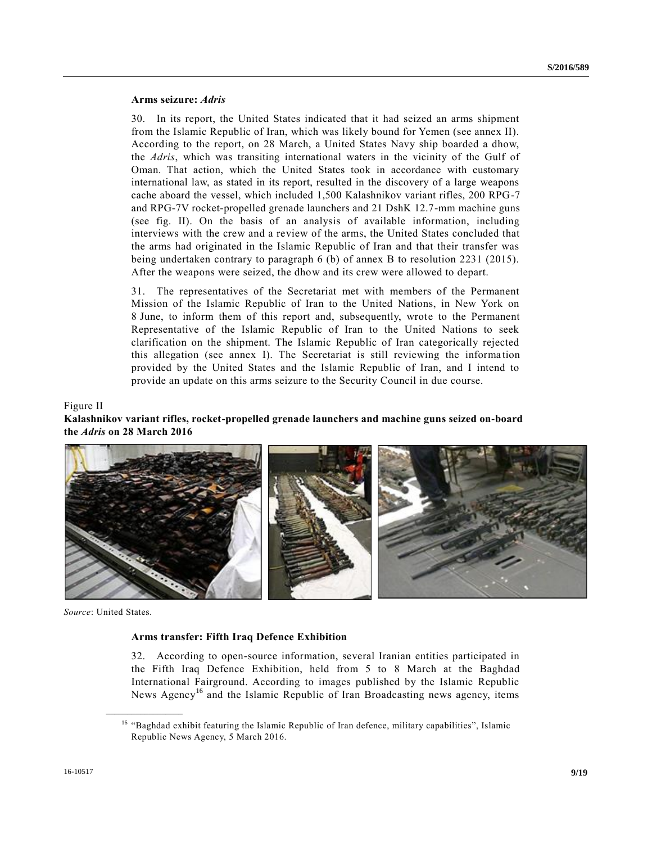#### **Arms seizure:** *Adris*

30. In its report, the United States indicated that it had seized an arms shipment from the Islamic Republic of Iran, which was likely bound for Yemen (see annex II). According to the report, on 28 March, a United States Navy ship boarded a dhow, the *Adris*, which was transiting international waters in the vicinity of the Gulf of Oman. That action, which the United States took in accordance with customary international law, as stated in its report, resulted in the discovery of a large weapons cache aboard the vessel, which included 1,500 Kalashnikov variant rifles, 200 RPG-7 and RPG-7V rocket-propelled grenade launchers and 21 DshK 12.7-mm machine guns (see fig. II). On the basis of an analysis of available information, including interviews with the crew and a review of the arms, the United States concluded that the arms had originated in the Islamic Republic of Iran and that their transfer was being undertaken contrary to paragraph 6 (b) of annex B to resolution 2231 (2015). After the weapons were seized, the dhow and its crew were allowed to depart.

31. The representatives of the Secretariat met with members of the Permanent Mission of the Islamic Republic of Iran to the United Nations, in New York on 8 June, to inform them of this report and, subsequently, wrote to the Permanent Representative of the Islamic Republic of Iran to the United Nations to seek clarification on the shipment. The Islamic Republic of Iran categorically rejected this allegation (see annex I). The Secretariat is still reviewing the informa tion provided by the United States and the Islamic Republic of Iran, and I intend to provide an update on this arms seizure to the Security Council in due course.

#### Figure II

### **Kalashnikov variant rifles, rocket-propelled grenade launchers and machine guns seized on-board the** *Adris* **on 28 March 2016**



*Source*: United States.

**\_\_\_\_\_\_\_\_\_\_\_\_\_\_\_\_\_\_**

#### **Arms transfer: Fifth Iraq Defence Exhibition**

32. According to open-source information, several Iranian entities participated in the Fifth Iraq Defence Exhibition, held from 5 to 8 March at the Baghdad International Fairground. According to images published by the Islamic Republic News Agency<sup>16</sup> and the Islamic Republic of Iran Broadcasting news agency, items

<sup>&</sup>lt;sup>16</sup> "Baghdad exhibit featuring the Islamic Republic of Iran defence, military capabilities", Islamic Republic News Agency, 5 March 2016.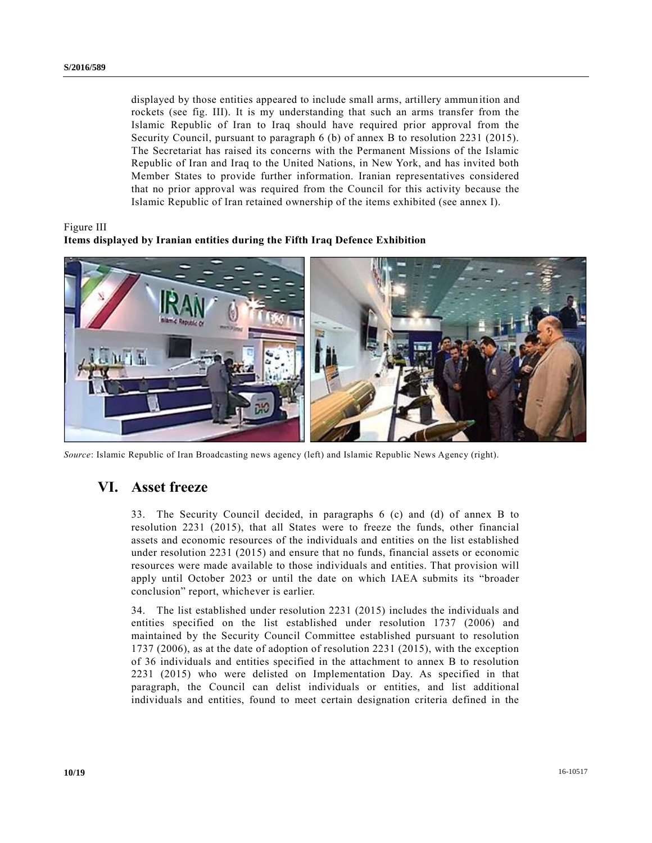displayed by those entities appeared to include small arms, artillery ammunition and rockets (see fig. III). It is my understanding that such an arms transfer from the Islamic Republic of Iran to Iraq should have required prior approval from the Security Council, pursuant to paragraph 6 (b) of annex B to resolution 2231 (2015). The Secretariat has raised its concerns with the Permanent Missions of the Islamic Republic of Iran and Iraq to the United Nations, in New York, and has invited both Member States to provide further information. Iranian representatives considered that no prior approval was required from the Council for this activity because the Islamic Republic of Iran retained ownership of the items exhibited (see annex I).

Figure III

### **Items displayed by Iranian entities during the Fifth Iraq Defence Exhibition**



*Source*: Islamic Republic of Iran Broadcasting news agency (left) and Islamic Republic News Agency (right).

# **VI. Asset freeze**

33. The Security Council decided, in paragraphs 6 (c) and (d) of annex B to resolution 2231 (2015), that all States were to freeze the funds, other financial assets and economic resources of the individuals and entities on the list established under resolution 2231 (2015) and ensure that no funds, financial assets or economic resources were made available to those individuals and entities. That provision will apply until October 2023 or until the date on which IAEA submits its "broader conclusion" report, whichever is earlier.

34. The list established under resolution 2231 (2015) includes the individuals and entities specified on the list established under resolution 1737 (2006) and maintained by the Security Council Committee established pursuant to resolution 1737 (2006), as at the date of adoption of resolution 2231 (2015), with the exception of 36 individuals and entities specified in the attachment to annex B to resolution 2231 (2015) who were delisted on Implementation Day. As specified in that paragraph, the Council can delist individuals or entities, and list additional individuals and entities, found to meet certain designation criteria defined in the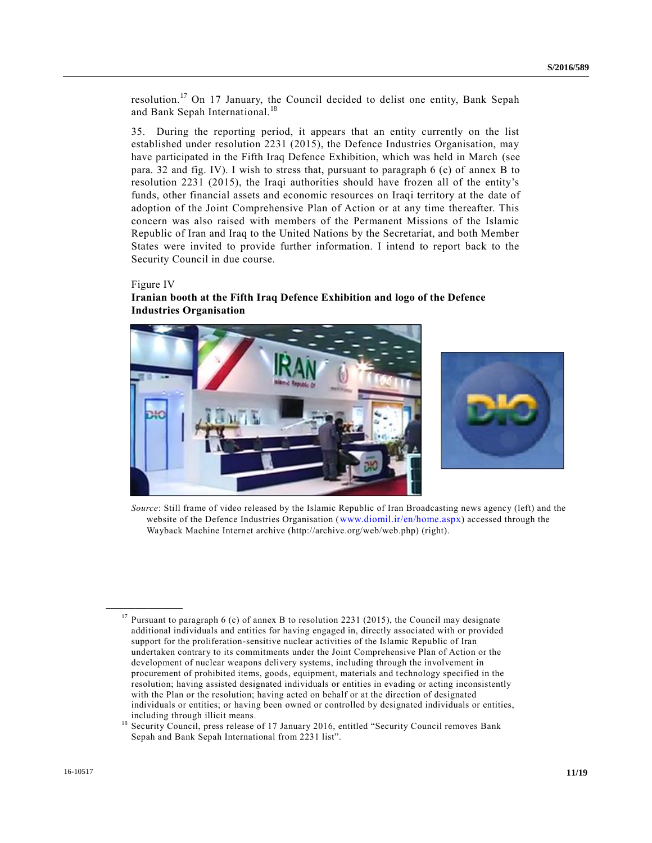resolution.<sup>17</sup> On 17 January, the Council decided to delist one entity, Bank Sepah and Bank Sepah International.<sup>18</sup>

35. During the reporting period, it appears that an entity currently on the list established under resolution 2231 (2015), the Defence Industries Organisation, may have participated in the Fifth Iraq Defence Exhibition, which was held in March (see para. 32 and fig. IV). I wish to stress that, pursuant to paragraph 6 (c) of annex B to resolution 2231 (2015), the Iraqi authorities should have frozen all of the entity's funds, other financial assets and economic resources on Iraqi territory at the date of adoption of the Joint Comprehensive Plan of Action or at any time thereafter. This concern was also raised with members of the Permanent Missions of the Islamic Republic of Iran and Iraq to the United Nations by the Secretariat, and both Member States were invited to provide further information. I intend to report back to the Security Council in due course.

#### Figure IV

**\_\_\_\_\_\_\_\_\_\_\_\_\_\_\_\_\_\_**

#### **Iranian booth at the Fifth Iraq Defence Exhibition and logo of the Defence Industries Organisation**



*Source*: Still frame of video released by the Islamic Republic of Iran Broadcasting news agency (left) and the website of the Defence Industries Organisation ([www.diomil.ir/en/home.aspx](http://www.diomil.ir/en/home.aspx)) accessed through the Wayback Machine Internet archive (http://archive.org/web/web.php) (right).

<sup>&</sup>lt;sup>17</sup> Pursuant to paragraph 6 (c) of annex B to resolution 2231 (2015), the Council may designate additional individuals and entities for having engaged in, directly associated with or provided support for the proliferation-sensitive nuclear activities of the Islamic Republic of Iran undertaken contrary to its commitments under the Joint Comprehensive Plan of Action or the development of nuclear weapons delivery systems, including through the involvement in procurement of prohibited items, goods, equipment, materials and technology specified in the resolution; having assisted designated individuals or entities in evading or acting inconsistently with the Plan or the resolution; having acted on behalf or at the direction of designated individuals or entities; or having been owned or controlled by designated individuals or entities, including through illicit means.

<sup>&</sup>lt;sup>18</sup> Security Council, press release of 17 January 2016, entitled "Security Council removes Bank Sepah and Bank Sepah International from 2231 list".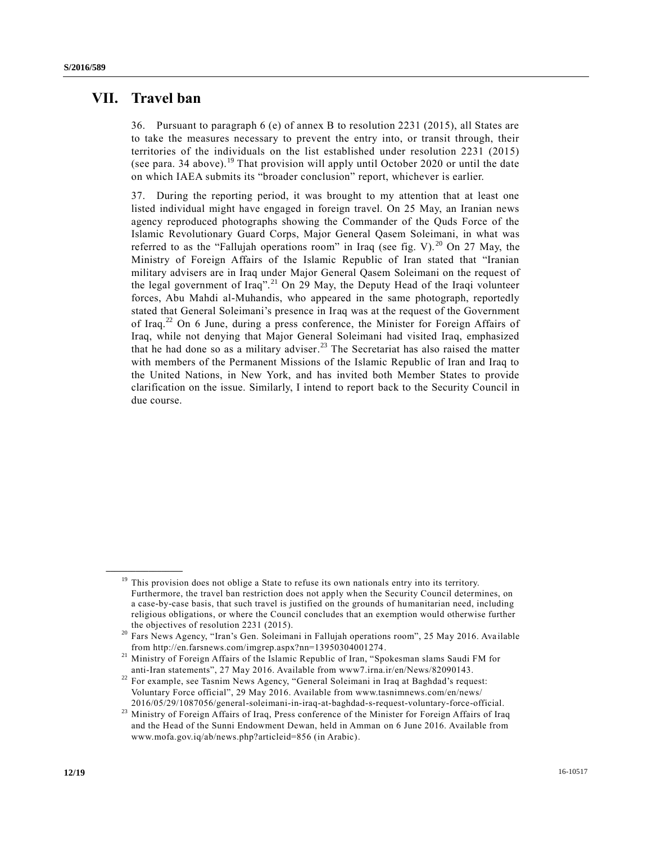## **VII. Travel ban**

**\_\_\_\_\_\_\_\_\_\_\_\_\_\_\_\_\_\_**

36. Pursuant to paragraph 6 (e) of annex B to resolution 2231 (2015), all States are to take the measures necessary to prevent the entry into, or transit through, their territories of the individuals on the list established under resolution 2231 (2015) (see para. 34 above).<sup>19</sup> That provision will apply until October 2020 or until the date on which IAEA submits its "broader conclusion" report, whichever is earlier.

37. During the reporting period, it was brought to my attention that at least one listed individual might have engaged in foreign travel. On 25 May, an Iranian news agency reproduced photographs showing the Commander of the Quds Force of the Islamic Revolutionary Guard Corps, Major General Qasem Soleimani, in what was referred to as the "Fallujah operations room" in Iraq (see fig. V).<sup>20</sup> On 27 May, the Ministry of Foreign Affairs of the Islamic Republic of Iran stated that "Iranian military advisers are in Iraq under Major General Qasem Soleimani on the request of the legal government of Iraq".<sup>21</sup> On 29 May, the Deputy Head of the Iraqi volunteer forces, Abu Mahdi al-Muhandis, who appeared in the same photograph, reportedly stated that General Soleimani's presence in Iraq was at the request of the Government of Iraq.<sup>22</sup> On 6 June, during a press conference, the Minister for Foreign Affairs of Iraq, while not denying that Major General Soleimani had visited Iraq, emphasized that he had done so as a military adviser.<sup>23</sup> The Secretariat has also raised the matter with members of the Permanent Missions of the Islamic Republic of Iran and Iraq to the United Nations, in New York, and has invited both Member States to provide clarification on the issue. Similarly, I intend to report back to the Security Council in due course.

<sup>&</sup>lt;sup>19</sup> This provision does not oblige a State to refuse its own nationals entry into its territory. Furthermore, the travel ban restriction does not apply when the Security Council determines, on a case-by-case basis, that such travel is justified on the grounds of humanitarian need, including religious obligations, or where the Council concludes that an exemption would otherwise further the objectives of resolution 2231 (2015).

<sup>20</sup> Fars News Agency, "Iran's Gen. Soleimani in Fallujah operations room", 25 May 2016. Ava ilable from http://en.farsnews.com/imgrep.aspx?nn=13950304001274.

<sup>&</sup>lt;sup>21</sup> Ministry of Foreign Affairs of the Islamic Republic of Iran, "Spokesman slams Saudi FM for anti-Iran statements", 27 May 2016. Available from www7.irna.ir/en/News/82090143.

<sup>&</sup>lt;sup>22</sup> For example, see Tasnim News Agency, "General Soleimani in Iraq at Baghdad's request: Voluntary Force official", 29 May 2016. Available from www.tasnimnews.com/en/news/ 2016/05/29/1087056/general-soleimani-in-iraq-at-baghdad-s-request-voluntary-force-official.

<sup>&</sup>lt;sup>23</sup> Ministry of Foreign Affairs of Iraq, Press conference of the Minister for Foreign Affairs of Iraq and the Head of the Sunni Endowment Dewan, held in Amman on 6 June 2016. Available from www.mofa.gov.iq/ab/news.php?articleid=856 (in Arabic).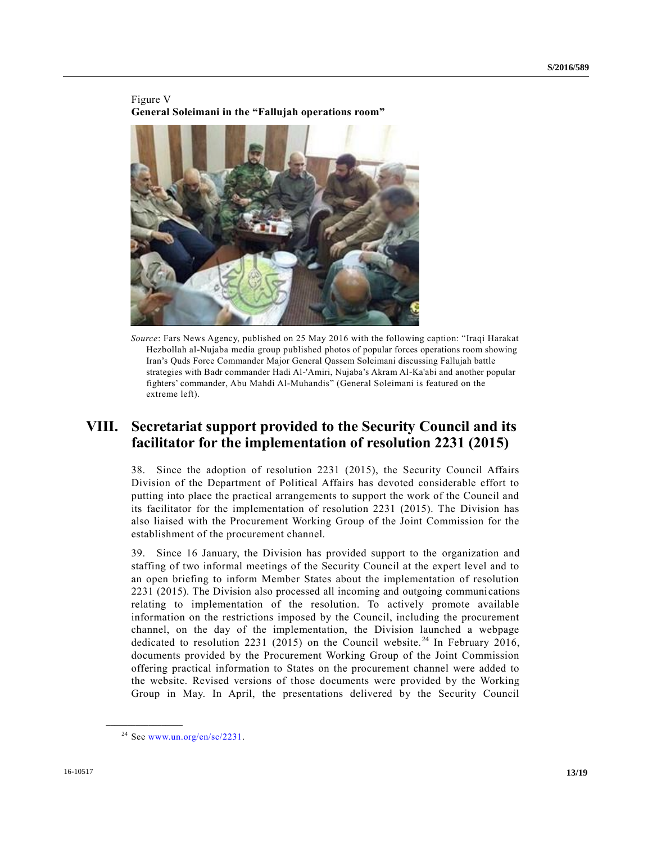

Figure V **General Soleimani in the "Fallujah operations room"** 

*Source*: Fars News Agency, published on 25 May 2016 with the following caption: "Iraqi Harakat Hezbollah al-Nujaba media group published photos of popular forces operations room showing Iran's Quds Force Commander Major General Qassem Soleimani discussing Fallujah battle strategies with Badr commander Hadi Al-'Amiri, Nujaba's Akram Al-Ka'abi and another popular fighters' commander, Abu Mahdi Al-Muhandis" (General Soleimani is featured on the extreme left).

## **VIII. Secretariat support provided to the Security Council and its facilitator for the implementation of resolution 2231 (2015)**

38. Since the adoption of resolution 2231 (2015), the Security Council Affairs Division of the Department of Political Affairs has devoted considerable effort to putting into place the practical arrangements to support the work of the Council and its facilitator for the implementation of resolution 2231 (2015). The Division has also liaised with the Procurement Working Group of the Joint Commission for the establishment of the procurement channel.

39. Since 16 January, the Division has provided support to the organization and staffing of two informal meetings of the Security Council at the expert level and to an open briefing to inform Member States about the implementation of resolution 2231 (2015). The Division also processed all incoming and outgoing communications relating to implementation of the resolution. To actively promote available information on the restrictions imposed by the Council, including the procurement channel, on the day of the implementation, the Division launched a webpage dedicated to resolution 2231 (2015) on the Council website.<sup>24</sup> In February 2016, documents provided by the Procurement Working Group of the Joint Commission offering practical information to States on the procurement channel were added to the website. Revised versions of those documents were provided by the Working Group in May. In April, the presentations delivered by the Security Council

 $24$  See [www.un.org/en/sc/2231.](http://www.un.org/en/sc/2231)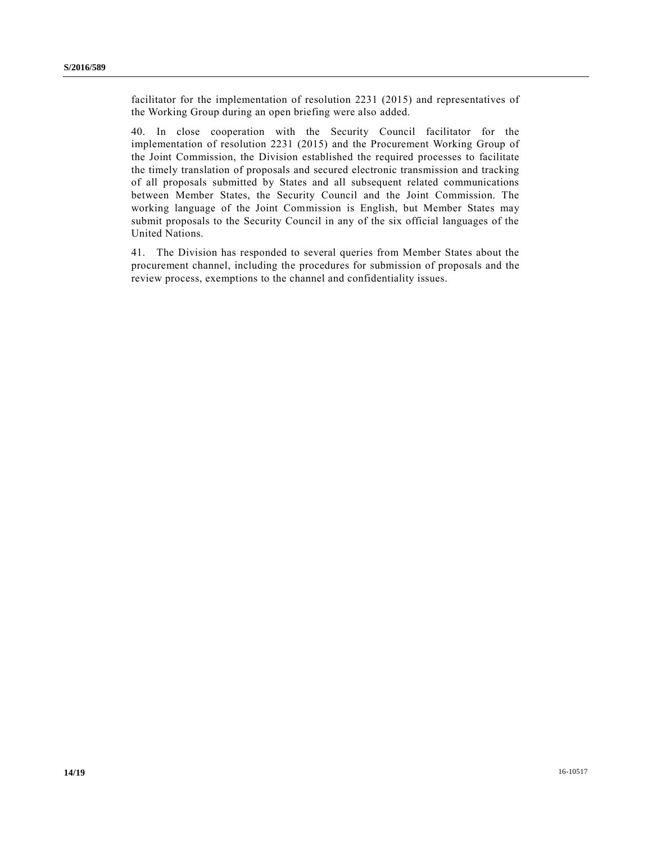facilitator for the implementation of resolution 2231 (2015) and representatives of the Working Group during an open briefing were also added.

40. In close cooperation with the Security Council facilitator for the implementation of resolution 2231 (2015) and the Procurement Working Group of the Joint Commission, the Division established the required processes to facilitate the timely translation of proposals and secured electronic transmission and tracking of all proposals submitted by States and all subsequent related communications between Member States, the Security Council and the Joint Commission. The working language of the Joint Commission is English, but Member States may submit proposals to the Security Council in any of the six official languages of the United Nations.

41. The Division has responded to several queries from Member States about the procurement channel, including the procedures for submission of proposals and the review process, exemptions to the channel and confidentiality issues.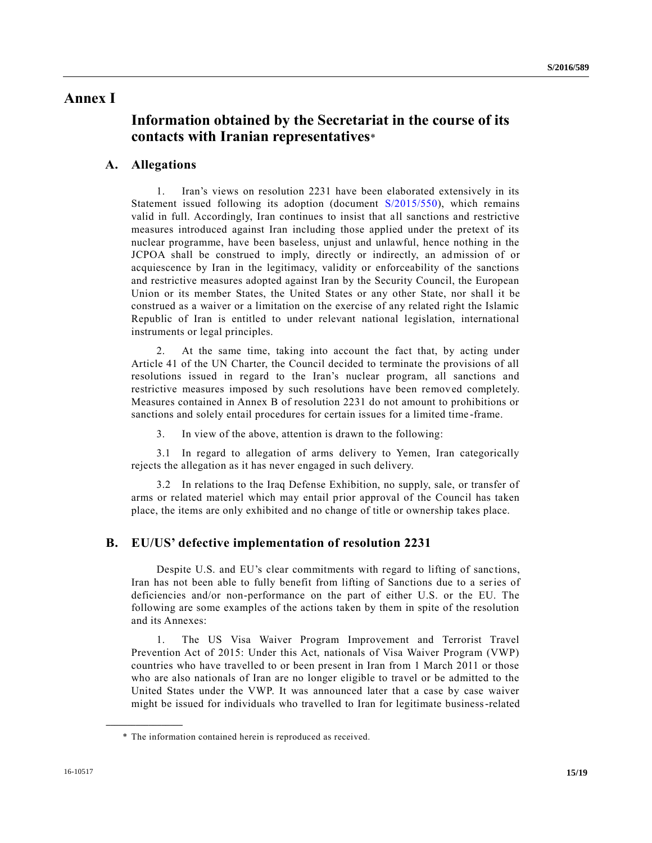### **Annex I**

# **Information obtained by the Secretariat in the course of its contacts with Iranian representatives**\*

### **A. Allegations**

1. Iran's views on resolution 2231 have been elaborated extensively in its Statement issued following its adoption (document [S/2015/550\)](http://undocs.org/S/2015/550), which remains valid in full. Accordingly, Iran continues to insist that all sanctions and restrictive measures introduced against Iran including those applied under the pretext of its nuclear programme, have been baseless, unjust and unlawful, hence nothing in the JCPOA shall be construed to imply, directly or indirectly, an admission of or acquiescence by Iran in the legitimacy, validity or enforceability of the sanctions and restrictive measures adopted against Iran by the Security Council, the European Union or its member States, the United States or any other State, nor shall it be construed as a waiver or a limitation on the exercise of any related right the Islamic Republic of Iran is entitled to under relevant national legislation, international instruments or legal principles.

2. At the same time, taking into account the fact that, by acting under Article 41 of the UN Charter, the Council decided to terminate the provisions of all resolutions issued in regard to the Iran's nuclear program, all sanctions and restrictive measures imposed by such resolutions have been removed completely. Measures contained in Annex B of resolution 2231 do not amount to prohibitions or sanctions and solely entail procedures for certain issues for a limited time -frame.

3. In view of the above, attention is drawn to the following:

3.1 In regard to allegation of arms delivery to Yemen, Iran categorically rejects the allegation as it has never engaged in such delivery.

3.2 In relations to the Iraq Defense Exhibition, no supply, sale, or transfer of arms or related materiel which may entail prior approval of the Council has taken place, the items are only exhibited and no change of title or ownership takes place.

### **B. EU/US' defective implementation of resolution 2231**

Despite U.S. and EU's clear commitments with regard to lifting of sanctions, Iran has not been able to fully benefit from lifting of Sanctions due to a series of deficiencies and/or non-performance on the part of either U.S. or the EU. The following are some examples of the actions taken by them in spite of the resolution and its Annexes:

1. The US Visa Waiver Program Improvement and Terrorist Travel Prevention Act of 2015: Under this Act, nationals of Visa Waiver Program (VWP) countries who have travelled to or been present in Iran from 1 March 2011 or those who are also nationals of Iran are no longer eligible to travel or be admitted to the United States under the VWP. It was announced later that a case by case waiver might be issued for individuals who travelled to Iran for legitimate business-related

<sup>\*</sup> The information contained herein is reproduced as received.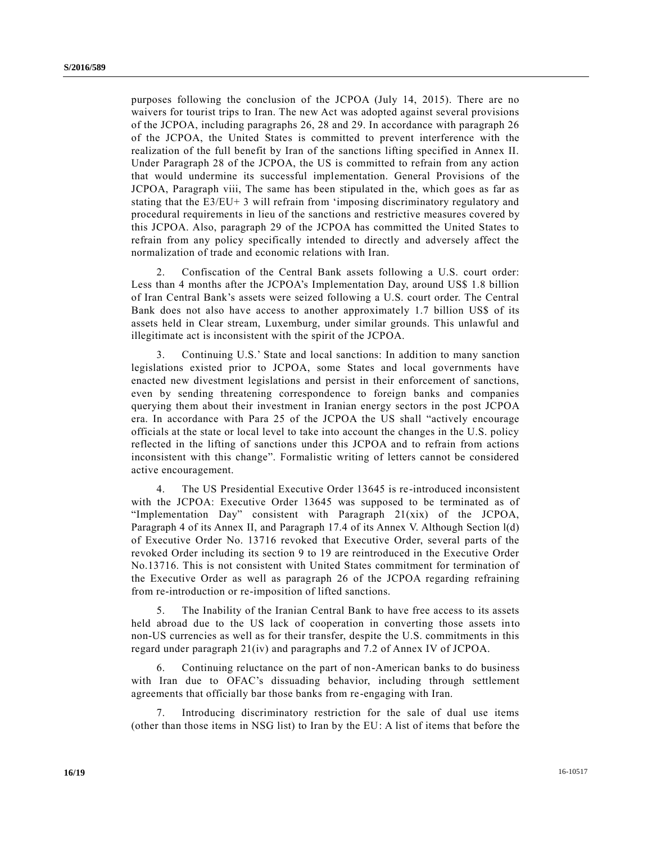purposes following the conclusion of the JCPOA (July 14, 2015). There are no waivers for tourist trips to Iran. The new Act was adopted against several provisions of the JCPOA, including paragraphs 26, 28 and 29. In accordance with paragraph 26 of the JCPOA, the United States is committed to prevent interference with the realization of the full benefit by Iran of the sanctions lifting specified in Annex II. Under Paragraph 28 of the JCPOA, the US is committed to refrain from any action that would undermine its successful implementation. General Provisions of the JCPOA, Paragraph viii, The same has been stipulated in the, which goes as far as stating that the E3/EU+ 3 will refrain from 'imposing discriminatory regulatory and procedural requirements in lieu of the sanctions and restrictive measures covered by this JCPOA. Also, paragraph 29 of the JCPOA has committed the United States to refrain from any policy specifically intended to directly and adversely affect the normalization of trade and economic relations with Iran.

2. Confiscation of the Central Bank assets following a U.S. court order: Less than 4 months after the JCPOA's Implementation Day, around US\$ 1.8 billion of Iran Central Bank's assets were seized following a U.S. court order. The Central Bank does not also have access to another approximately 1.7 billion US\$ of its assets held in Clear stream, Luxemburg, under similar grounds. This unlawful and illegitimate act is inconsistent with the spirit of the JCPOA.

3. Continuing U.S.' State and local sanctions: In addition to many sanction legislations existed prior to JCPOA, some States and local governments have enacted new divestment legislations and persist in their enforcement of sanctions, even by sending threatening correspondence to foreign banks and companies querying them about their investment in Iranian energy sectors in the post JCPOA era. In accordance with Para 25 of the JCPOA the US shall "actively encourage officials at the state or local level to take into account the changes in the U.S. policy reflected in the lifting of sanctions under this JCPOA and to refrain from actions inconsistent with this change". Formalistic writing of letters cannot be considered active encouragement.

4. The US Presidential Executive Order 13645 is re-introduced inconsistent with the JCPOA: Executive Order 13645 was supposed to be terminated as of "Implementation Day" consistent with Paragraph 21(xix) of the JCPOA, Paragraph 4 of its Annex II, and Paragraph 17.4 of its Annex V. Although Section l(d) of Executive Order No. 13716 revoked that Executive Order, several parts of the revoked Order including its section 9 to 19 are reintroduced in the Executive Order No.13716. This is not consistent with United States commitment for termination of the Executive Order as well as paragraph 26 of the JCPOA regarding refraining from re-introduction or re-imposition of lifted sanctions.

5. The Inability of the Iranian Central Bank to have free access to its assets held abroad due to the US lack of cooperation in converting those assets into non-US currencies as well as for their transfer, despite the U.S. commitments in this regard under paragraph 21(iv) and paragraphs and 7.2 of Annex IV of JCPOA.

6. Continuing reluctance on the part of non-American banks to do business with Iran due to OFAC's dissuading behavior, including through settlement agreements that officially bar those banks from re-engaging with Iran.

Introducing discriminatory restriction for the sale of dual use items (other than those items in NSG list) to Iran by the EU: A list of items that before the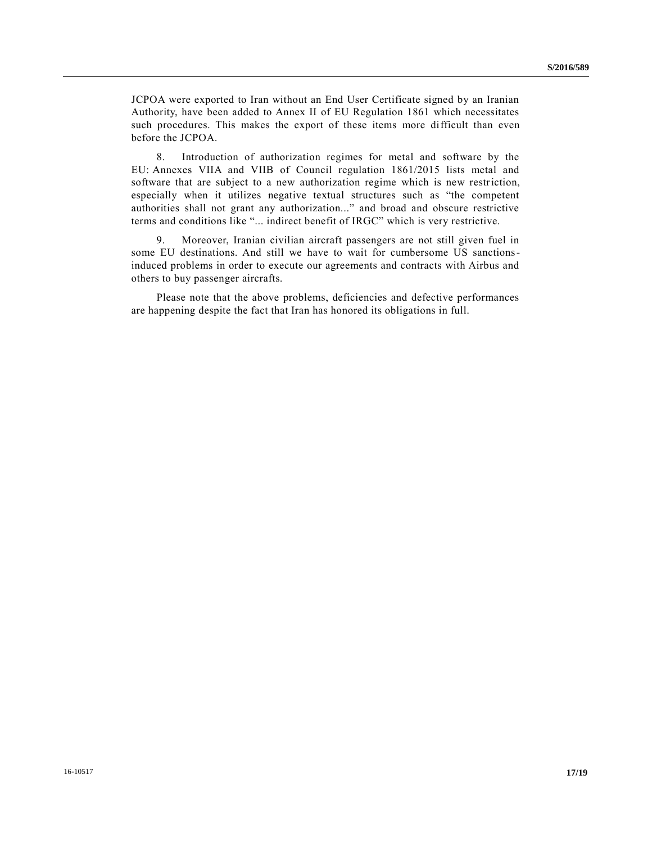JCPOA were exported to Iran without an End User Certificate signed by an Iranian Authority, have been added to Annex II of EU Regulation 1861 which necessitates such procedures. This makes the export of these items more difficult than even before the JCPOA.

8. Introduction of authorization regimes for metal and software by the EU: Annexes VIIA and VIIB of Council regulation 1861/2015 lists metal and software that are subject to a new authorization regime which is new restriction, especially when it utilizes negative textual structures such as "the competent authorities shall not grant any authorization..." and broad and obscure restrictive terms and conditions like "... indirect benefit of IRGC" which is very restrictive.

9. Moreover, Iranian civilian aircraft passengers are not still given fuel in some EU destinations. And still we have to wait for cumbersome US sanctionsinduced problems in order to execute our agreements and contracts with Airbus and others to buy passenger aircrafts.

Please note that the above problems, deficiencies and defective performances are happening despite the fact that Iran has honored its obligations in full.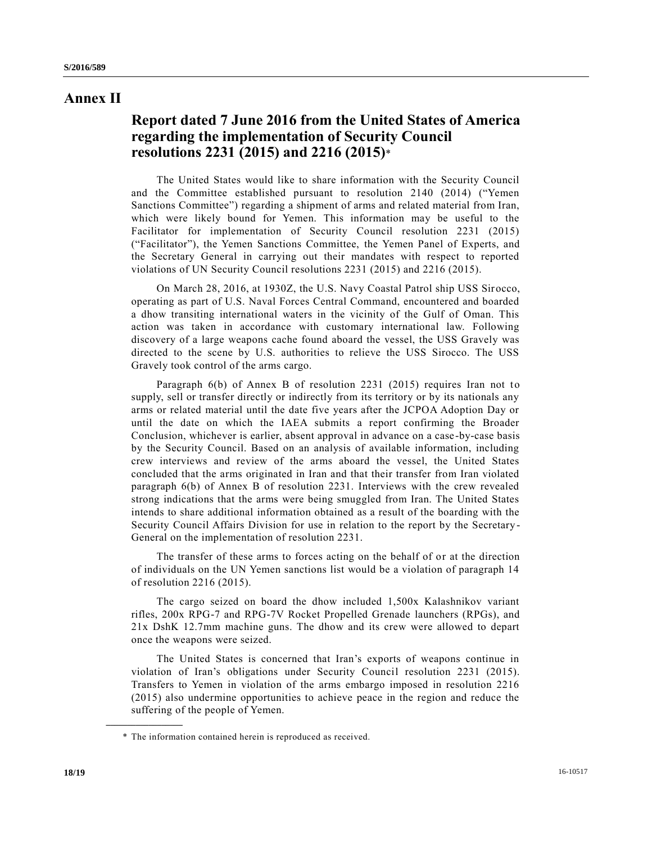## **Annex II**

# **Report dated 7 June 2016 from the United States of America regarding the implementation of Security Council resolutions 2231 (2015) and 2216 (2015)**\*

The United States would like to share information with the Security Council and the Committee established pursuant to resolution 2140 (2014) ("Yemen Sanctions Committee") regarding a shipment of arms and related material from Iran, which were likely bound for Yemen. This information may be useful to the Facilitator for implementation of Security Council resolution 2231 (2015) ("Facilitator"), the Yemen Sanctions Committee, the Yemen Panel of Experts, and the Secretary General in carrying out their mandates with respect to reported violations of UN Security Council resolutions 2231 (2015) and 2216 (2015).

On March 28, 2016, at 1930Z, the U.S. Navy Coastal Patrol ship USS Sir occo, operating as part of U.S. Naval Forces Central Command, encountered and boarded a dhow transiting international waters in the vicinity of the Gulf of Oman. This action was taken in accordance with customary international law. Following discovery of a large weapons cache found aboard the vessel, the USS Gravely was directed to the scene by U.S. authorities to relieve the USS Sirocco. The USS Gravely took control of the arms cargo.

Paragraph 6(b) of Annex B of resolution 2231 (2015) requires Iran not to supply, sell or transfer directly or indirectly from its territory or by its nationals any arms or related material until the date five years after the JCPOA Adoption Day or until the date on which the IAEA submits a report confirming the Broader Conclusion, whichever is earlier, absent approval in advance on a case-by-case basis by the Security Council. Based on an analysis of available information, including crew interviews and review of the arms aboard the vessel, the United States concluded that the arms originated in Iran and that their transfer from Iran violated paragraph 6(b) of Annex B of resolution 2231. Interviews with the crew revealed strong indications that the arms were being smuggled from Iran. The United States intends to share additional information obtained as a result of the boarding with the Security Council Affairs Division for use in relation to the report by the Secretary - General on the implementation of resolution 2231.

The transfer of these arms to forces acting on the behalf of or at the direction of individuals on the UN Yemen sanctions list would be a violation of paragraph 14 of resolution 2216 (2015).

The cargo seized on board the dhow included 1,500x Kalashnikov variant rifles, 200x RPG-7 and RPG-7V Rocket Propelled Grenade launchers (RPGs), and 21x DshK 12.7mm machine guns. The dhow and its crew were allowed to depart once the weapons were seized.

The United States is concerned that Iran's exports of weapons continue in violation of Iran's obligations under Security Council resolution 2231 (2015). Transfers to Yemen in violation of the arms embargo imposed in resolution 2216 (2015) also undermine opportunities to achieve peace in the region and reduce the suffering of the people of Yemen.

<sup>\*</sup> The information contained herein is reproduced as received.